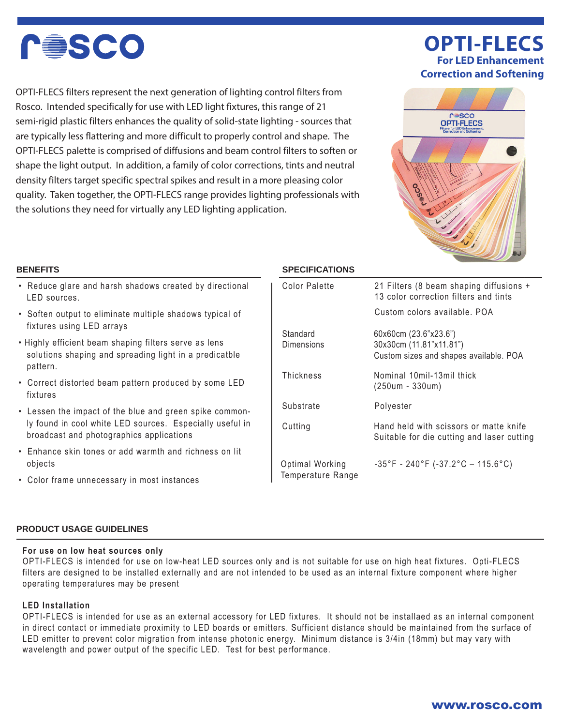

OPTI-FLECS filters represent the next generation of lighting control filters from Rosco. Intended specifically for use with LED light fixtures, this range of 21 semi-rigid plastic filters enhances the quality of solid-state lighting - sources that are typically less flattering and more difficult to properly control and shape. The OPTI-FLECS palette is comprised of diffusions and beam control filters to soften or shape the light output. In addition, a family of color corrections, tints and neutral density filters target specific spectral spikes and result in a more pleasing color quality. Taken together, the OPTI-FLECS range provides lighting professionals with the solutions they need for virtually any LED lighting application.

# **OPTI-FLECS For LED Enhancement Correction and Softening**



- Reduce glare and harsh shadows created by directional LED sources.
- Soften output to eliminate multiple shadows typical of fixtures using LED arrays
- Highly efficient beam shaping filters serve as lens solutions shaping and spreading light in a predicatble pattern.
- Correct distorted beam pattern produced by some LED fixtures
- Lessen the impact of the blue and green spike commonly found in cool white LED sources. Especially useful in broadcast and photographics applications
- Enhance skin tones or add warmth and richness on lit objects
- Color frame unnecessary in most instances

## **BENEFITS SPECIFICATIONS**

| Color Palette                        | 21 Filters (8 beam shaping diffusions +<br>13 color correction filters and tints           |  |
|--------------------------------------|--------------------------------------------------------------------------------------------|--|
|                                      | Custom colors available, POA                                                               |  |
| Standard<br>Dimensions               | 60x60cm (23.6"x23.6")<br>30x30cm (11.81"x11.81")<br>Custom sizes and shapes available. POA |  |
| Thickness                            | Nominal 10mil-13mil thick<br>(250um - 330um)                                               |  |
| Substrate                            | Polyester                                                                                  |  |
| Cutting                              | Hand held with scissors or matte knife<br>Suitable for die cutting and laser cutting       |  |
| Optimal Working<br>Temperature Range | $-35^{\circ}$ F - 240 $^{\circ}$ F (-37.2 $^{\circ}$ C – 115.6 $^{\circ}$ C)               |  |

### **PRODUCT USAGE GUIDELINES**

### **For use on low heat sources only**

OPTI-FLECS is intended for use on low-heat LED sources only and is not suitable for use on high heat fixtures. Opti-FLECS filters are designed to be installed externally and are not intended to be used as an internal fixture component where higher operating temperatures may be present

## **LED Installation**

OPTI-FLECS is intended for use as an external accessory for LED fixtures. It should not be installaed as an internal component in direct contact or immediate proximity to LED boards or emitters. Sufficient distance should be maintained from the surface of LED emitter to prevent color migration from intense photonic energy. Minimum distance is 3/4in (18mm) but may vary with wavelength and power output of the specific LED. Test for best performance.